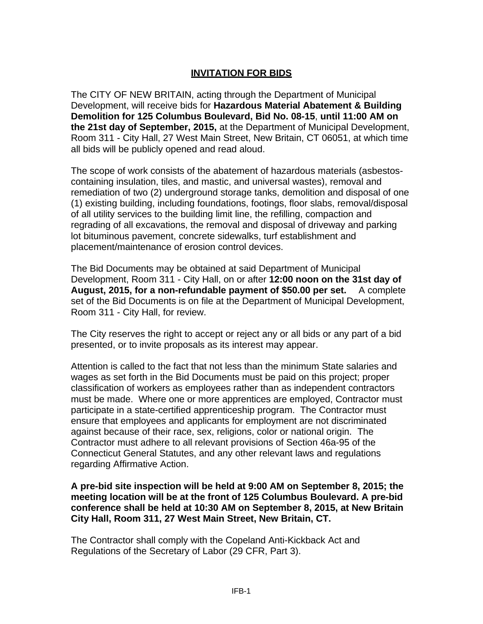## **INVITATION FOR BIDS**

The CITY OF NEW BRITAIN, acting through the Department of Municipal Development, will receive bids for **Hazardous Material Abatement & Building Demolition for 125 Columbus Boulevard, Bid No. 08-15**, **until 11:00 AM on the 21st day of September, 2015,** at the Department of Municipal Development, Room 311 - City Hall, 27 West Main Street, New Britain, CT 06051, at which time all bids will be publicly opened and read aloud.

The scope of work consists of the abatement of hazardous materials (asbestoscontaining insulation, tiles, and mastic, and universal wastes), removal and remediation of two (2) underground storage tanks, demolition and disposal of one (1) existing building, including foundations, footings, floor slabs, removal/disposal of all utility services to the building limit line, the refilling, compaction and regrading of all excavations, the removal and disposal of driveway and parking lot bituminous pavement, concrete sidewalks, turf establishment and placement/maintenance of erosion control devices.

The Bid Documents may be obtained at said Department of Municipal Development, Room 311 - City Hall, on or after **12:00 noon on the 31st day of August, 2015, for a non-refundable payment of \$50.00 per set.** A complete set of the Bid Documents is on file at the Department of Municipal Development, Room 311 - City Hall, for review.

The City reserves the right to accept or reject any or all bids or any part of a bid presented, or to invite proposals as its interest may appear.

Attention is called to the fact that not less than the minimum State salaries and wages as set forth in the Bid Documents must be paid on this project; proper classification of workers as employees rather than as independent contractors must be made. Where one or more apprentices are employed, Contractor must participate in a state-certified apprenticeship program. The Contractor must ensure that employees and applicants for employment are not discriminated against because of their race, sex, religions, color or national origin. The Contractor must adhere to all relevant provisions of Section 46a-95 of the Connecticut General Statutes, and any other relevant laws and regulations regarding Affirmative Action.

**A pre-bid site inspection will be held at 9:00 AM on September 8, 2015; the meeting location will be at the front of 125 Columbus Boulevard. A pre-bid conference shall be held at 10:30 AM on September 8, 2015, at New Britain City Hall, Room 311, 27 West Main Street, New Britain, CT.**

The Contractor shall comply with the Copeland Anti-Kickback Act and Regulations of the Secretary of Labor (29 CFR, Part 3).